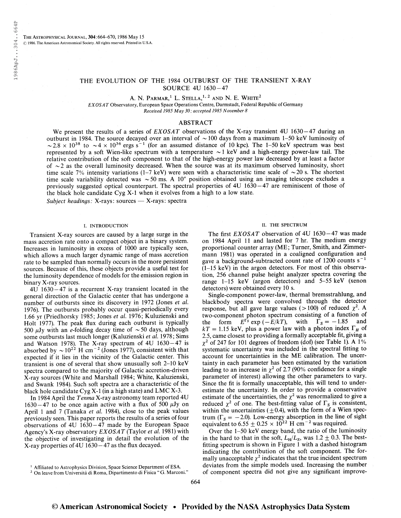# THE EVOLUTION OF THE 1984 OUTBURST OF THE TRANSIENT X-RAY SOURCE 4U 1630-47

A. N. Parmar, $^1$  L. Stella, $^{1, 2}$  and N. E. White<sup>2</sup>

EXOSAT Observatory, European Space Operations Centre, Darmstadt, Federal Republic of Germany Received 1985 May 30; accepted 1985 November 8

## ABSTRACT

We present the results of a series of  $EXOSAT$  observations of the X-ray transient 4U 1630–47 during an outburst in 1984. The source decayed over an interval of  $\sim$  100 days from a maximum 1-50 keV luminosity of  $\sim$  2.8  $\times$  10<sup>38</sup> to  $\sim$  4  $\times$  10<sup>36</sup> ergs s<sup>-1</sup> (for an assumed distance of 10 kpc). The 1-50 keV spectrum was best represented by a soft Wien-like spectrum with a temperature  $\sim$  1 keV and a high-energy power-law tail. The relative contribution of the soft component to that of the high-energy power law decreased by at least a factor of  $\sim$  2 as the overall luminosity decreased. When the source was at its maximum observed luminosity, short time scale 7% intensity variations (1–7 keV) were seen with a characteristic time scale of  $\sim$  20 s. The shortest time scale variability detected was  $\sim$  50 ms. A 10" position obtained using an imaging telescope excludes a previously suggested optical counterpart. The spectral properties of 4U 1630 — 47 are reminiscent of those of the black hole candidate Cyg X-l when it evolves from a high to a low state.

Subject headings: X-rays: sources — X-rays: spectra

### I. INTRODUCTION

Transient X-ray sources are caused by a large surge in the mass accretion rate onto a compact object in a binary system. Increases in luminosity in excess of 1000 are typically seen, which allows a much larger dynamic range of mass accretion rate to be sampled than normally occurs in the more persistent sources. Because of this, these objects provide a useful test for the luminosity dependence of models for the emission region in binary X-ray sources.

4U 1630 — 47 is a recurrent X-ray transient located in the general direction of the Galactic center that has undergone a number of outbursts since its discovery in 1972 (Jones et al 1976). The outbursts probably occur quasi-periodically every 1.66 yr (Priedhorsky 1985; Jones et al. 1976; Kuluzienski and Holt 1977). The peak flux during each outburst is typically 500  $\mu$ Jy with an *e*-folding decay time of  $\sim$  50 days, although some outbursts last much longer (Kaluzienski et al. 1978; Sims and Watson 1978). The X-ray spectrum of  $4U$  1630 $-47$  is and Watson 1978). The X-ray spectrum of 4U 1630–47 is<br>absorbed by  $\sim 10^{22}$  H cm<sup>-2</sup> (Jones 1977), consistent with that expected if it lies in the vicinity of the Galactic center. This transient is one of several that show unusually soft 2-10 keV spectra compared to the majority of Galactic accretion-driven X-ray sources (White and Marshall 1984; White, Kaluzienski, and Swank 1984). Such soft spectra are a characteristic of the black hole candidate Cyg X-l (in a high state) and LMC X-3.

In 1984 April the Tenma X-ray astronomy team reported 4U  $1630 - 47$  to be once again active with a flux of 500  $\mu$ Jy on April 1 and 7 (Tanaka et al. 1984), close to the peak values previously seen. This paper reports the results of a series of four observations of  $4U$  1630 $-47$  made by the European Space Agency's X-ray observatory  $EXOSAT$  (Taylor et al. 1981) with the objective of investigating in detail the evolution of the X-ray properties of 4U 1630 — 47 as the flux decayed.

#### II. THE SPECTRUM

The first EXOSAT observation of 4U 1630-47 was made on 1984 April 11 and lasted for 7 hr. The medium energy proportional counter array (ME; Turner, Smith, and Zimmermann 1981) was operated in a coaligned configuration and mann 1981) was operated in a coaligned configuration and<br>gave a background-subtracted count rate of 1200 counts s<sup>-1</sup>  $(1-15 \text{ keV})$  in the argon detectors. For most of this observation, 256 channel pulse height analyzer spectra covering the range 1-15 keV (argon detectors) and 5-55 keV (xenon detectors) were obtained every 10 s.

Single-component power-law, thermal bremsstrahlung, and blackbody spectra were convolved through the detector response, but all gave large values (>100) of reduced  $\chi^2$ . A two-component photon spectrum consisting of a function of<br>the form  $E^{Ts} \exp(-E/kT)$ , with  $\Gamma_s = -1.85$  and the form  $E^{\Gamma_S}$  exp  $(-E/kT)$ , with  $\Gamma_S = -1.85$  and  $kT = 1.15$  keV, plus a power law with a photon index  $\Gamma_H$  of 2.5, came closest to providing a formally acceptable fit, giving a  $\chi^2$  of 247 for 101 degrees of freedom (dof) (see Table 1). A 1% systematic uncertainty was included in the spectral fitting to account for uncertainties in the ME calibration. The uncertainty in each parameter has been estimated by the variation leading to an increase in  $\chi^2$  of 2.7 (90% confidence for a single parameter of interest) allowing the other parameters to vary. Since the fit is formally unacceptable, this will tend to underestimate the uncertainty. In order to provide a conservative estimate of the uncertainties, the  $\chi^2$  was renormalized to give a reduced  $\chi^2$  of one. The best-fitting value of  $\Gamma_s$  is consistent, within the uncertainties  $(\pm 0.4)$ , with the form of a Wien spectrum ( $\Gamma_s = -2.0$ ). Low-energy absorption in the line of sight equivalent to 6.55  $\pm$  0.25  $\times$  10<sup>22</sup> H cm<sup>-2</sup> was required.

Over the 1-50 keV energy band, the ratio of the luminosity in the hard to that in the soft,  $L_H/L_S$ , was  $1.2 \pm 0.3$ . The bestfitting spectrum is shown in Figure <sup>1</sup> with a dashed histogram indicating the contribution of the soft component. The formally unacceptable  $\chi^2$  indicates that the true incident spectrum deviates from the simple models used. Increasing the number of component spectra did not give any significant improve-

<sup>1</sup> Affiliated to Astrophysics Division, Space Science Department of ESA. <sup>2</sup> On leave from Université di Roma, Dipartimento di Fisica " G. Marconi."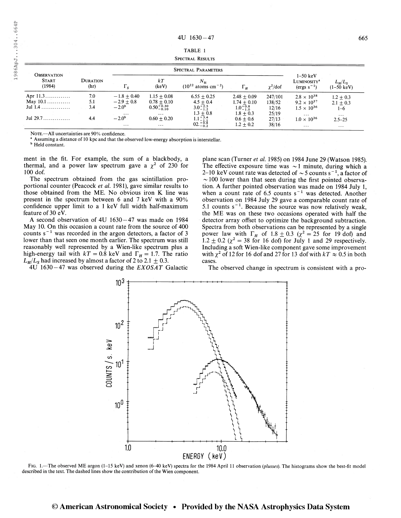TABLE <sup>1</sup> Spectral Results

| <b>OBSERVATION</b><br><b>START</b><br>(1984) | <b>DURATION</b><br>(hr) | <b>SPECTRAL PARAMETERS</b> |                        |                                                    |                     |               |                                                                |                                       |
|----------------------------------------------|-------------------------|----------------------------|------------------------|----------------------------------------------------|---------------------|---------------|----------------------------------------------------------------|---------------------------------------|
|                                              |                         | $\Gamma_{\rm s}$           | kT<br>(keV)            | $N_{\rm H}$<br>$(10^{22}$ atoms cm <sup>-2</sup> ) | $\Gamma_H$          | $\chi^2$ /dof | $1-50~\mathrm{keV}$<br>LUMINOSITY <sup>a</sup><br>$(ergs s-1)$ | $L_{H}/L_{S}$<br>$(1-50 \text{ keV})$ |
| Apr $11.3$                                   | 7.0                     | $-1.8 + 0.40$              | $1.15 + 0.08$          | $6.55 + 0.25$                                      | $2.48 + 0.09$       | 247/101       | $2.8 \times 10^{38}$                                           | $1.2 \pm 0.3$                         |
| May $10.1$                                   | 5.1                     | $-2.9 + 0.8$               | $0.78 + 0.10$          | $4.5 + 0.4$                                        | $1.74 + 0.10$       | 138/52        | $9.2 \times 10^{37}$                                           | $2.1 + 0.3$                           |
|                                              | 3.4                     | $-2.0b$                    | $0.50^{+0.30}_{-0.10}$ | $3.0^{+2.5}_{-1.2}$                                | $1.0^{+0.8}_{-1.0}$ | 12/16         | $1.5 \times 10^{36}$                                           | $1 - 6$                               |
|                                              |                         | $\cdots$                   | $\cdot \cdot \cdot$    | $1.3 \pm 0.8$                                      | $1.8 + 0.3$         | 25/19         | $\cdots$                                                       | $\cdots$                              |
| Jul 29.7                                     | 4.4                     | $-2.0b$                    | $0.60 + 0.20$          |                                                    | $0.6 + 0.6$         | 27/13         | $1.0 \times 10^{36}$                                           | $2.5 - 25$                            |
|                                              |                         | $\cdots$                   | $\cdots$               | $1.1 + 3.4$<br>02. $+ 0.8$<br>02. $- 0.2$          | $1.2 + 0.2$         | 38/16         | $\cdots$                                                       | $\cdots$                              |

Note.—All uncertainties are 90% confidence.<br><sup>3</sup> Assuming a distance of 10 kpc and that the observed low-energy absorption is interstellar.<br><sup>b</sup> Held constant.

ment in the fit. For example, the sum of a blackbody, a thermal, and a power law spectrum gave a  $\chi^2$  of 230 for 100 dof.

The spectrum obtained from the gas scintillation proportional counter (Peacock et al. 1981), gave similar results to those obtained from the ME. No obvious iron K line was present in the spectrum between 6 and 7 keV with a 90% confidence upper limit to a <sup>1</sup> keV full width half-maximum feature of 30 eV.

A second observation of 4U 1630 — 47 was made on 1984 May 10. On this occasion a count rate from the source of 400 counts  $s^{-1}$  was recorded in the argon detectors, a factor of 3 lower than that seen one month earlier. The spectrum was still reasonably well represented by a Wien-like spectrum plus a high-energy tail with  $kT = 0.8$  keV and  $\Gamma_H = 1.7$ . The ratio  $L_H/L_s$  had increased by almost a factor of 2 to 2.1  $\pm$  0.3.

4U 1630 $-47$  was observed during the EXOSAT Galactic

plane scan (Turner et al. 1985) on 1984 June 29 (Watson 1985). The effective exposure time was  $\sim$  1 minute, during which a 2-10 keV count rate was detected of  $\sim$  5 counts s<sup>-1</sup>, a factor of  $\sim$  100 lower than that seen during the first pointed observation. A further pointed observation was made on 1984 July 1,  $\mu$  m. A further pointed observation was made on 1964 July 1, when a count rate of 6.5 counts  $s^{-1}$  was detected. Another observation on 1984 July 29 gave a comparable count rate of observation on 1984 July 29 gave a comparable count rate of<br>5.1 counts s<sup>-1</sup>. Because the source was now relatively weak, the ME was on these two occasions operated with half the detector array offset to optimize the background subtraction. Spectra from both observations can be represented by a single power law with  $\Gamma_H$  of 1.8  $\pm$  0.3 ( $\chi^2$  = 25 for 19 dof) and  $1.2 \pm 0.2$  ( $\chi^2 = 38$  for 16 dof) for July 1 and 29 respectively. Including a soft Wien-like component gave some improvement with  $\chi^2$  of 12 for 16 dof and 27 for 13 dof with  $kT \approx 0.5$  in both cases.

The observed change in spectrum is consistent with a pro-



FIG. 1.—The observed ME argon (1-15 keV) and xenon (6-40 keV) spectra for the 1984 April 11 observation (plusses). The histograms show the best-fit model described in the text. The dashed lines show the contribution of the Wien component.

## © American Astronomical Society • Provided by the NASA Astrophysics Data System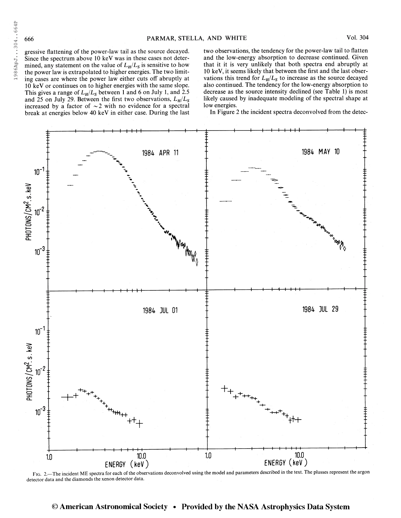gressive flattening of the power-law tail as the source decayed. Since the spectrum above 10 keV was in these cases not determined, any statement on the value of  $L_H/L_S$  is sensitive to how the power law is extrapolated to higher energies. The two limiting cases are where the power law either cuts off abruptly at 10 keV or continues on to higher energies with the same slope. This gives a range of  $L_H/L_S$  between 1 and 6 on July 1, and 2.5 and 25 on July 29. Between the first two observations,  $L_H/L_S$ increased by a factor of  $\sim$  2 with no evidence for a spectral break at energies below 40 keV in either case. During the last two observations, the tendency for the power-law tail to flatten and the low-energy absorption to decrease continued. Given that it it is very unlikely that both spectra end abruptly at 10 keV, it seems likely that between the first and the last observations this trend for  $L_H/L_S$  to increase as the source decayed also continued. The tendency for the low-energy absorption to decrease as the source intensity declined (see Table 1) is most likely caused by inadequate modeling of the spectral shape at low energies.

In Figure 2 the incident spectra deconvolved from the detec-



FIG. 2. The incident ME spectra for each of the observations deconvolved using the model and parameters described in the text. The plusses represent the argon detector data and the diamonds the xenon detector data.

# © American Astronomical Society • Provided by the NASA Astrophysics Data System

198 6Ap J. . . 304.. . 664P

1986ApJ...304...664P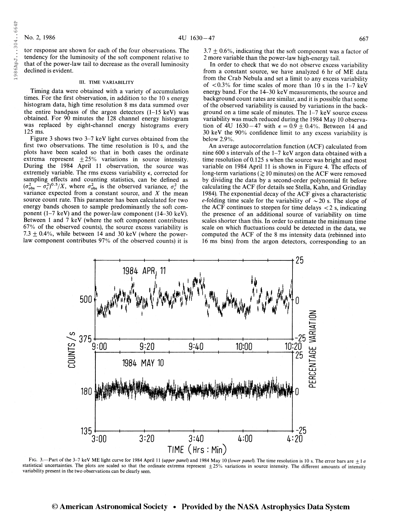1986ApJ...304..664P

tor response are shown for each of the four observations. The tendency for the luminosity of the soft component relative to that of the power-law tail to decrease as the overall luminosity declined is evident.

## III. TIME VARIABILITY

Timing data were obtained with a variety of accumulation times. For the first observation, in addition to the 10 s energy histogram data, high time resolution 8 ms data summed over the entire bandpass of the argon detectors (1-15 keV) was obtained. For 90 minutes the 128 channel energy histogram was replaced by eight-channel energy histograms every 125 ms.

Figure 3 shows two 3-7 keV light curves obtained from the first two observations. The time resolution is 10 s, and the plots have been scaled so that in both cases the ordinate extrema represent  $\pm 25\%$  variations in source intensity. During the 1984 April 11 observation, the source was extremely variable. The rms excess variability  $\epsilon$ , corrected for sampling effects and counting statistics, can be defined as  $(\sigma_{obs}^2 - \sigma_c^2)^{0.5}/X$ , where  $\sigma_{obs}^2$  is the observed variance,  $\sigma_c^2$  the variance expected from a constant source, and  $X$  the mean source count rate. This parameter has been calculated for two energy bands chosen to sample predominantly the soft component (1-7 keV) and the power-law component (14-30 keV). Between <sup>1</sup> and 7 keV (where the soft component contributes 67% of the observed counts), the source excess variability is 7.3  $\pm$  0.4%, while between 14 and 30 keV (where the powerlaw component contributes 97% of the observed counts) it is

 $3.7 \pm 0.6$ %, indicating that the soft component was a factor of 2 more variable than the power-law high-energy tail.

In order to check that we do not observe excess variability from a constant source, we have analyzed 6 hr of ME data from the Crab Nebula and set a limit to any excess variability of  $< 0.3\%$  for time scales of more than 10 s in the 1-7 keV energy band. For the 14—30 keV measurements, the source and background count rates are similar, and it is possible that some of the observed variability is caused by variations in the background on a time scale of minutes. The 1-7 keV source excess variability was much reduced during the 1984 May 10 observation of 4U 1630–47 with  $\epsilon = 0.9 \pm 0.4$ %. Between 14 and 30 keV the 90% confidence limit to any excess variability is below 2.9%.

An average autocorrelation function (ACF) calculated from nine 600 s intervals of the 1-7 keV argon data obtained with a time resolution of 0.125 s when the source was bright and most variable on 1984 April 11 is shown in Figure 4. The effects of long-term variations ( $\gtrsim$  10 minutes) on the ACF were removed by dividing the data by a second-order polynomial fit before calculating the ACF (for details see Stella, Kahn, and Grindlay 1984). The exponential decay of the ACF gives a characteristic e-folding time scale for the variability of  $\sim$  20 s. The slope of the ACF continues to steepen for time delays  $\langle 2 \rangle$  s, indicating the presence of an additional source of variability on time scales shorter than this. In order to estimate the minimum time scale on which fluctuations could be detected in the data, we computed the ACF of the 8 ms intensity data (rebinned into 16 ms bins) from the argon detectors, corresponding to an



FIG. 3.—Part of the 3-7 keV ME light curve for 1984 April 11 (upper panel) and 1984 May 10 (lower panel). The time resolution is 10 s. The error bars are  $\pm 1\sigma$ statistical uncertainties. The plots are scaled so that the ordinate extrema represent  $\pm 25%$  variations in source intensity. The different amounts of intensity variability present in the two observations can be clearly seen.

## © American Astronomical Society • Provided by the NASA Astrophysics Data System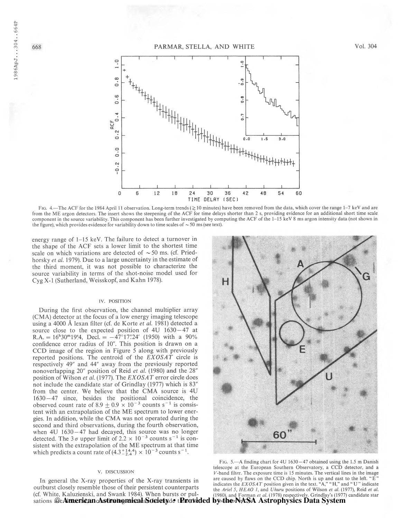

Fig. 4.—The ACF for the 1984 April 11 observation. Long-term trends ( $\gtrsim$  10 minutes) have been removed from the data, which cover the range 1-7 keV and are from the ME argon detectors. The insert shows the steepening of the ACF for time delays shorter than 2 s, providing evidence for an additional short time scale component in the source variability. This component has been further investigated by computing the ACF of the 1-15 keV 8 ms argon intensity data (not shown in the figure), which provides evidence for variability down to time scales of  $\sim$  50 ms (see text).

energy range of 1–15 keV. The failure to detect a turnover in the shape of the ACF sets a lower limit to the shortest time scale on which variations are detected of  $\sim$  50 ms. (cf. Priedhorsky et al. 1979). Due to a large uncertainty in the estimate of the third moment, it was not possible to characterize the source variability in terms of the shot-noise model used for Cyg X-l (Sutherland, Weisskopf, and Kahn 1978).

### IV. POSITION

During the first observation, the channel multiplier array (CMA) detector at the focus of a low energy imaging telescope using a 4000 Å lexan filter (cf. de Korte et al. 1981) detected a source close to the expected position of 4U 1630-47 at  $R.A. = 16<sup>h</sup>30<sup>m</sup>19<sup>s</sup>4$ , Decl. =  $-47<sup>o</sup>17''.24'$  (1950) with a 90% confidence error radius of 10". This position is drawn on a CCD image of the region in Figure 5 along with previously reported positions. The centroid of the EXOSAT circle is respectively 49" and 44" away from the previously reported nonoverlapping 20" position of Reid et al. (1980) and the 28" position of Wilson et al. (1977). The EXOSAT error circle does not include the candidate star of Grindlay (1977) which is 83" from the center. We believe that the CMA source is 4U 1630 — 47 since, besides the positional coincidence, the 1630–47 since, besides the positional coincidence, the observed count rate of  $8.9 \pm 0.9 \times 10^{-3}$  counts s<sup>-1</sup> is consistent with an extrapolation of the ME spectrum to lower energies. In addition, while the CMA was not operated during the second and third observations, during the fourth observation, when  $4U$  1630 $-47$  had decayed, this source was no longer detected. The  $3\sigma$  upper limit of  $2.2 \times 10^{-3}$  counts s<sup>-1</sup> is consistent with the extrapolation of the ME spectrum at that time which predicts a count rate of  $(4.3^{+14.4}_{-2.4}) \times 10^{-3}$  counts s<sup>-1</sup>.

## v. DISCUSSION

In general the X-ray properties of the X-ray transients in outburst closely resemble those of their persistent counterparts (cf. White, Kaluzienski, and Swank 1984). When bursts or pulsations @AimericancAstronomical&dcietyde tPratided byithe NA'SA Astrophysics Data System



FIG. 5.—A finding chart for 4U 1630 – 47 obtained using the 1.5 m Danish telescope at the European Southern Observatory, a CCD detector, and a F-band filter. The exposure time is 15 minutes. The vertical lines in the image are caused by flaws on the CCD chip. North is up and east to the left. "E" indicates the  $EXOSAT$  position given in the text. "A," "H," and "U" indicate the Ariel 5, HEAO 1, and Uhuru positions of Wilson et al. (1977), Reid et al. (1980), and Forman et al. (1978) respectively. Grindlay's (1977) candidate star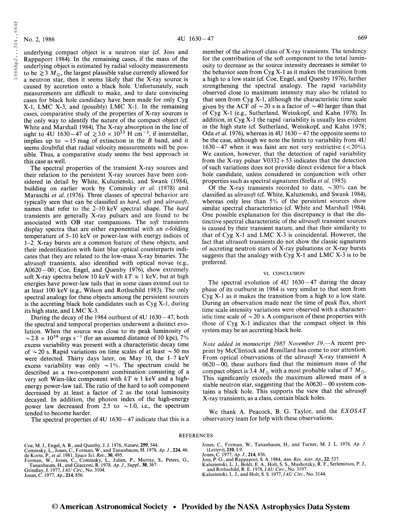198 6Ap J 304 . . 664P

1986ApJ...304..664P

underlying compact object is a neutron star (cf. Joss and Rappaport 1984). In the remaining cases, if the mass of the underlying object is estimated by radial velocity measurements to be  $\geq 3$  M<sub>\oppo</sub>, the largest plausible value currently allowed for a neutron star, then it seems likely that the X-ray source is caused by accretion onto a black hole. Unfortunately, such measurements are difficult to make, and to date convincing cases for black hole candidacy have been made for only Cyg X-l, LMC X-3, and (possibly) LMC X-l. In the remaining cases, comparative study of the properties of X-ray sources is the only way to identify the nature of the compact object (cf. White and Marshall 1984). The X-ray absorption in the line of White and Marshall 1984). The X-ray absorption in the line of sight to 4U 1630–47 of  $\gtrsim 3.0 \times 10^{22}$  H cm<sup>-2</sup>, if interstellar, implies up to  $\sim$  15 mag of extinction in the B band, and it seems doubtful that radial velocity measurements will be possible. Thus, a comparative study seems the best approach in this case as well.

The spectral properties of the transient X-ray sources and their relation to the persistent X-ray sources have been considered in detail by White, Kuluzienski, and Swank (1984), building on earlier work by Cominsky et al. (1978) and Maraschi et al. (1976). Three classes of spectral behavior are typically seen that can be classified as hard, soft and ultrasoft, names that refer to the 2-10 keV spectral shape. The *hard* transients are generally X-ray pulsars and are found to be associated with OB star companions. The soft transients display spectra that are either exponential with an  $e$ -folding temperature of 5-10 keV or power-law with energy indices of 1-2. X-ray bursts are a common feature of these objects, and their indentification with faint blue optical counterparts indicates that they are related to the low-mass X-ray binaries. The ultrasoft transients, also identified with optical novae (e.g., A0620 —00; Coe, Engel, and Quenby 1976), show extremely soft X-ray spectra below 10 keV with  $kT \approx 1$  keV, but at high energies have power-law tails that in some cases extend out to at least 100 keV (e.g., Wilson and Rothschild 1983). The only spectral analogy for these objects among the persistent sources is the accreting black hole candidates such as Cyg X-l, during its high state, and LMC X-3.

During the decay of the 1984 outburst of 4U 1630 — 47, both the spectral and temporal properties underwent a distinct evolution. When the source was close to its peak luminosity of ution. When the source was close to its peak luminosity of  $\sim 2.8 \times 10^{38}$  ergs s<sup>-1</sup> (for an assumed distance of 10 kpc), 7% excess variability was present with a characteristic decay time of  $\sim$  20 s. Rapid variations on time scales of at least  $\sim$  50 ms were detected. Thirty days later, on May 10, the 1-7 keV excess variability was only  $\sim$ 1%. The spectrum could be described as a two-component combination consisting of a very soft Wien-like component with  $kT \approx 1$  keV and a highenergy power-law tail. The ratio of the hard to soft component decreased by at least a factor of 2 as the total luminosity decayed. In addition, the photon index of the high-energy power law decreased from 2.5 to  $\sim$  1.0, i.e., the spectrum tended to become harder.

The spectral properties of 4U  $1630 - 47$  indicate that this is a

member of the ultrasoft class of X-ray transients. The tendency for the contribution of the soft component to the total luminosity to decrease as the source intensity decreases is similar to the behavior seen from Cyg X-l as it makes the transition from a high to a low state (cf. Coe, Engel, and Quenby 1976), further strengthening the spectral analogy. The rapid variability observed close to maximum intensity may also be related to that seen from Cyg X-l, although the characteristic time scale given by the ACF of  $\sim$  20 s is a factor of  $\sim$  40 larger than that of Cyg X-l (e.g., Sutherland, Weisskopf, and Kahn 1978). In addition, in Cyg X-l the rapid variability is usually less evident in the high state (cf. Sutherland, Weisskopf, and Kahn 1978; Oda et al. 1976), whereas in 4U 1630 $-47$  the opposite seems to be the case, although we note the limits to variability from 4U  $1630 - 47$  when it was faint are not very restrictive (<20%). We caution, however, that the detection of rapid variability from the X-ray pulsar  $V0332 + 53$  indicates that the detection of such variations does not provide direct evidence for a black hole candidate, unless considered in conjunction with other properties such as spectral signatures (Stella *et al.* 1985).

Of the X-ray transients recorded to date,  $\sim 30\%$  can be classified as ultrasoft (cf. White, Kaluzienski, and Swank 1984), whereas only less than 5% of the persistent sources show similar spectral characteristics (cf. White and Marshall 1984). One possible explanation for this discrepancy is that the distinctive spectral characteristic of the ultrasoft transient sources is caused by their transient nature, and that their similarity to that of Cyg X-l and LMC X-3 is coincidental. However, the fact that ultrasoft transients do not show the classic signatures of accreting neutron stars of X-ray pulsations or X-ray bursts suggests that the analogy with Cyg  $X-1$  and LMC  $X-3$  is to be preferred.

#### VI. CONCLUSION

The spectral evolution of  $4U$  1630 $-47$  during the decay phase of its outburst in 1984 is very similar to that seen from Cyg X-l as it makes the transition from a high to a low state. During an observation made near the time of peak flux, short time scale intensity variations were observed with a characteristic time scale of  $\sim$  20 s. A comparison of these properties with those of Cyg X-l indicates that the compact object in this system may be an accreting black hole.

Note added in manuscript 1985 November 19.—A recent preprint by McClintock and Remillard has come to our attention. From optical observations of the ultrasoft X-ray transient A 0620-00, these authors find that the minimum mass of the compact object is 3.4  $M_{\odot}$  with a most probable value of 7  $M_{\odot}$ . This significantly exceeds the maximum allowed mass of a stable neutron star, suggesting that the A0620 - 00 system contains a black hole. This supports the view that the ultrasoft X-ray transients, as a class, contain black holes.

We thank A. Peacock, B. G. Taylor, and the EXOSAT observatory team for help with these observations.

## **REFERENCES**

Coe, M. J., Engel, A. R., and Quenby, J. J. 1976, *Nature*, **259**, 544.<br>Cominsky, L., Jones, C., Forman, W., and Tananbaum, H. 1978, Ap. J., **224**, 46.<br>de Korte, P., et al. 1981, Space Sci. Rev., 30, 495.<br>Forman, W., Jones

Grindlay, J. 1977, *IAU Circ.*, No. 3104.<br>Jones, C. 1977, Ap., **214**, 856.

Jones, C, Forman, W., Tananbaum, H., and Turner, M. J. L. 1976, Ap. J. (Letters), 210, L9.

Jones, C. 1977, Ap. J., 214, 856.

Joss, P. G., and Rappaport, S. A. 1984, Ann. Rev. Astr. Ap., 22, 537.

Kaluzienski, L. J., Boldt, E. A., Holt, S. S., Mushotzky, R. F., Serlemitsos, P. J., and Rothschild, R. E. 1978, *IAU Circ.*, No. 3197.

Kaluzienski, L. J., and Holt, S. S. 1977, IAU Circ., No. 3144.

# © American Astronomical Society • Provided by the NASA Astrophysics Data System